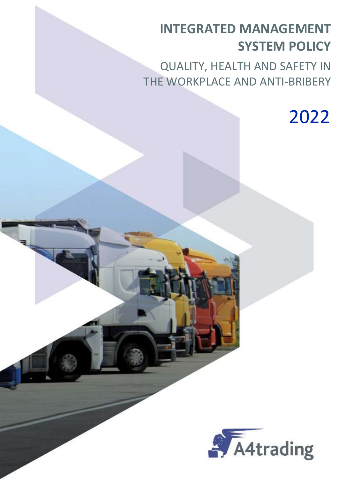# INTEGRATED MANAGEMENT SYSTEM POLICY

QUALITY, HEALTH AND SAFETY IN THE WORKPLACE AND ANTI-BRIBERY

2022

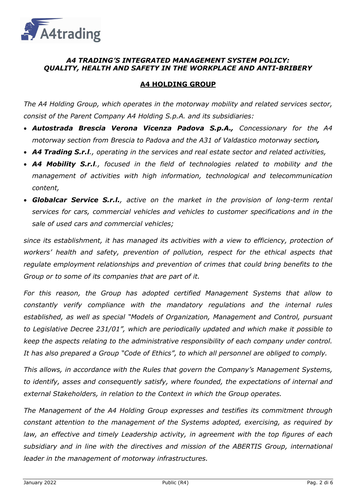

# A4 TRADING'S INTEGRATED MANAGEMENT SYSTEM POLICY: QUALITY, HEALTH AND SAFETY IN THE WORKPLACE AND ANTI-BRIBERY

# A4 HOLDING GROUP

The A4 Holding Group, which operates in the motorway mobility and related services sector, consist of the Parent Company A4 Holding S.p.A. and its subsidiaries:

- Autostrada Brescia Verona Vicenza Padova S.p.A., Concessionary for the A4 motorway section from Brescia to Padova and the A31 of Valdastico motorway section,
- A4 Trading S.r.l., operating in the services and real estate sector and related activities,
- A4 Mobility S.r.l., focused in the field of technologies related to mobility and the management of activities with high information, technological and telecommunication content,
- Globalcar Service S.r.l., active on the market in the provision of long-term rental services for cars, commercial vehicles and vehicles to customer specifications and in the sale of used cars and commercial vehicles;

since its establishment, it has managed its activities with a view to efficiency, protection of workers' health and safety, prevention of pollution, respect for the ethical aspects that regulate employment relationships and prevention of crimes that could bring benefits to the Group or to some of its companies that are part of it.

For this reason, the Group has adopted certified Management Systems that allow to constantly verify compliance with the mandatory regulations and the internal rules established, as well as special "Models of Organization, Management and Control, pursuant to Legislative Decree 231/01", which are periodically updated and which make it possible to keep the aspects relating to the administrative responsibility of each company under control. It has also prepared a Group "Code of Ethics", to which all personnel are obliged to comply.

This allows, in accordance with the Rules that govern the Company's Management Systems, to identify, asses and consequently satisfy, where founded, the expectations of internal and external Stakeholders, in relation to the Context in which the Group operates.

The Management of the A4 Holding Group expresses and testifies its commitment through constant attention to the management of the Systems adopted, exercising, as required by law, an effective and timely Leadership activity, in agreement with the top figures of each subsidiary and in line with the directives and mission of the ABERTIS Group, international leader in the management of motorway infrastructures.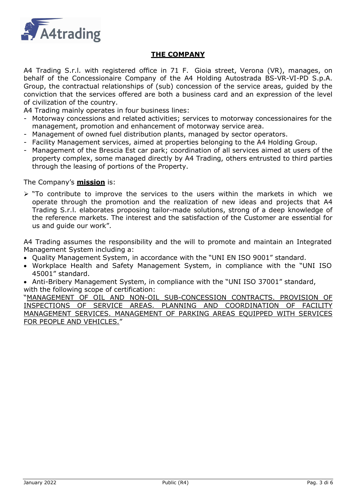

# THE COMPANY

A4 Trading S.r.l. with registered office in 71 F. Gioia street, Verona (VR), manages, on behalf of the Concessionaire Company of the A4 Holding Autostrada BS-VR-VI-PD S.p.A. Group, the contractual relationships of (sub) concession of the service areas, guided by the conviction that the services offered are both a business card and an expression of the level of civilization of the country.

A4 Trading mainly operates in four business lines:

- Motorway concessions and related activities; services to motorway concessionaires for the management, promotion and enhancement of motorway service area.
- Management of owned fuel distribution plants, managed by sector operators.
- Facility Management services, aimed at properties belonging to the A4 Holding Group.
- Management of the Brescia Est car park; coordination of all services aimed at users of the property complex, some managed directly by A4 Trading, others entrusted to third parties through the leasing of portions of the Property.

The Company's **mission** is:

 $\triangleright$  "To contribute to improve the services to the users within the markets in which we operate through the promotion and the realization of new ideas and projects that A4 Trading S.r.l. elaborates proposing tailor-made solutions, strong of a deep knowledge of the reference markets. The interest and the satisfaction of the Customer are essential for us and guide our work".

A4 Trading assumes the responsibility and the will to promote and maintain an Integrated Management System including a:

- Quality Management System, in accordance with the "UNI EN ISO 9001" standard.
- Workplace Health and Safety Management System, in compliance with the "UNI ISO 45001" standard.

 Anti-Bribery Management System, in compliance with the "UNI ISO 37001" standard, with the following scope of certification:

"MANAGEMENT OF OIL AND NON-OIL SUB-CONCESSION CONTRACTS. PROVISION OF INSPECTIONS OF SERVICE AREAS. PLANNING AND COORDINATION OF FACILITY MANAGEMENT SERVICES. MANAGEMENT OF PARKING AREAS EQUIPPED WITH SERVICES FOR PEOPLE AND VEHICLES."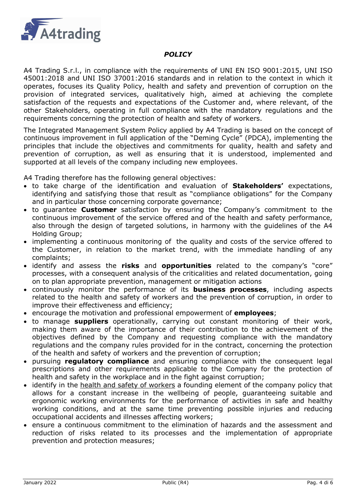

#### **POLICY**

A4 Trading S.r.l., in compliance with the requirements of UNI EN ISO 9001:2015, UNI ISO 45001:2018 and UNI ISO 37001:2016 standards and in relation to the context in which it operates, focuses its Quality Policy, health and safety and prevention of corruption on the provision of integrated services, qualitatively high, aimed at achieving the complete satisfaction of the requests and expectations of the Customer and, where relevant, of the other Stakeholders, operating in full compliance with the mandatory regulations and the requirements concerning the protection of health and safety of workers.

The Integrated Management System Policy applied by A4 Trading is based on the concept of continuous improvement in full application of the "Deming Cycle" (PDCA), implementing the principles that include the objectives and commitments for quality, health and safety and prevention of corruption, as well as ensuring that it is understood, implemented and supported at all levels of the company including new employees.

A4 Trading therefore has the following general objectives:

- to take charge of the identification and evaluation of **Stakeholders'** expectations, identifying and satisfying those that result as "compliance obligations" for the Company and in particular those concerning corporate governance;
- to guarantee **Customer** satisfaction by ensuring the Company's commitment to the continuous improvement of the service offered and of the health and safety performance, also through the design of targeted solutions, in harmony with the guidelines of the A4 Holding Group;
- implementing a continuous monitoring of the quality and costs of the service offered to the Customer, in relation to the market trend, with the immediate handling of any complaints;
- identify and assess the risks and opportunities related to the company's "core" processes, with a consequent analysis of the criticalities and related documentation, going on to plan appropriate prevention, management or mitigation actions
- continuously monitor the performance of its **business processes**, including aspects related to the health and safety of workers and the prevention of corruption, in order to improve their effectiveness and efficiency;
- encourage the motivation and professional empowerment of **employees**;
- to manage **suppliers** operationally, carrying out constant monitoring of their work, making them aware of the importance of their contribution to the achievement of the objectives defined by the Company and requesting compliance with the mandatory regulations and the company rules provided for in the contract, concerning the protection of the health and safety of workers and the prevention of corruption;
- pursuing regulatory compliance and ensuring compliance with the consequent legal prescriptions and other requirements applicable to the Company for the protection of health and safety in the workplace and in the fight against corruption;
- identify in the health and safety of workers a founding element of the company policy that allows for a constant increase in the wellbeing of people, guaranteeing suitable and ergonomic working environments for the performance of activities in safe and healthy working conditions, and at the same time preventing possible injuries and reducing occupational accidents and illnesses affecting workers;
- ensure a continuous commitment to the elimination of hazards and the assessment and reduction of risks related to its processes and the implementation of appropriate prevention and protection measures;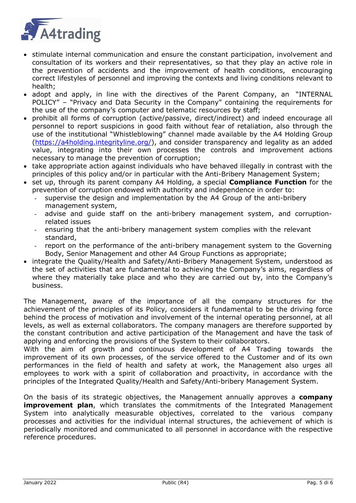

- stimulate internal communication and ensure the constant participation, involvement and consultation of its workers and their representatives, so that they play an active role in the prevention of accidents and the improvement of health conditions, encouraging correct lifestyles of personnel and improving the contexts and living conditions relevant to health;
- adopt and apply, in line with the directives of the Parent Company, an "INTERNAL POLICY" – "Privacy and Data Security in the Company" containing the requirements for the use of the company's computer and telematic resources by staff;
- prohibit all forms of corruption (active/passive, direct/indirect) and indeed encourage all personnel to report suspicions in good faith without fear of retaliation, also through the use of the institutional "Whistleblowing" channel made available by the A4 Holding Group (https://a4holding.integrityline.org/), and consider transparency and legality as an added value, integrating into their own processes the controls and improvement actions necessary to manage the prevention of corruption;
- take appropriate action against individuals who have behaved illegally in contrast with the principles of this policy and/or in particular with the Anti-Bribery Management System;
- set up, through its parent company A4 Holding, a special **Compliance Function** for the prevention of corruption endowed with authority and independence in order to:
	- supervise the design and implementation by the A4 Group of the anti-bribery management system,
	- advise and quide staff on the anti-bribery management system, and corruptionrelated issues
	- ensuring that the anti-bribery management system complies with the relevant standard,
	- report on the performance of the anti-bribery management system to the Governing Body, Senior Management and other A4 Group Functions as appropriate;
- integrate the Quality/Health and Safety/Anti-Bribery Management System, understood as the set of activities that are fundamental to achieving the Company's aims, regardless of where they materially take place and who they are carried out by, into the Company's business.

The Management, aware of the importance of all the company structures for the achievement of the principles of its Policy, considers it fundamental to be the driving force behind the process of motivation and involvement of the internal operating personnel, at all levels, as well as external collaborators. The company managers are therefore supported by the constant contribution and active participation of the Management and have the task of applying and enforcing the provisions of the System to their collaborators.

With the aim of growth and continuous development of A4 Trading towards the improvement of its own processes, of the service offered to the Customer and of its own performances in the field of health and safety at work, the Management also urges all employees to work with a spirit of collaboration and proactivity, in accordance with the principles of the Integrated Quality/Health and Safety/Anti-bribery Management System.

On the basis of its strategic objectives, the Management annually approves a **company improvement plan**, which translates the commitments of the Integrated Management System into analytically measurable objectives, correlated to the various company processes and activities for the individual internal structures, the achievement of which is periodically monitored and communicated to all personnel in accordance with the respective reference procedures.